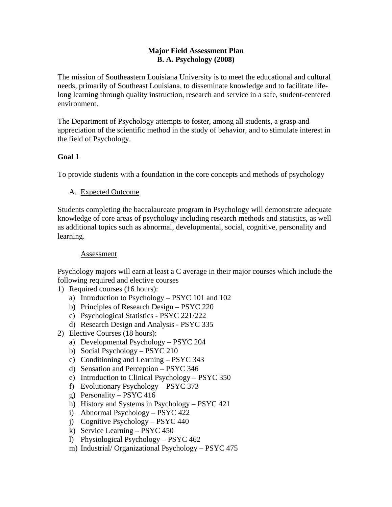#### **Major Field Assessment Plan B. A. Psychology (2008)**

The mission of Southeastern Louisiana University is to meet the educational and cultural needs, primarily of Southeast Louisiana, to disseminate knowledge and to facilitate lifelong learning through quality instruction, research and service in a safe, student-centered environment.

The Department of Psychology attempts to foster, among all students, a grasp and appreciation of the scientific method in the study of behavior, and to stimulate interest in the field of Psychology.

### **Goal 1**

To provide students with a foundation in the core concepts and methods of psychology

A. Expected Outcome

Students completing the baccalaureate program in Psychology will demonstrate adequate knowledge of core areas of psychology including research methods and statistics, as well as additional topics such as abnormal, developmental, social, cognitive, personality and learning.

### Assessment

Psychology majors will earn at least a C average in their major courses which include the following required and elective courses

- 1) Required courses (16 hours):
	- a) Introduction to Psychology PSYC 101 and 102
	- b) Principles of Research Design PSYC 220
	- c) Psychological Statistics PSYC 221/222
	- d) Research Design and Analysis PSYC 335
- 2) Elective Courses (18 hours):
	- a) Developmental Psychology PSYC 204
	- b) Social Psychology PSYC 210
	- c) Conditioning and Learning PSYC 343
	- d) Sensation and Perception PSYC 346
	- e) Introduction to Clinical Psychology PSYC 350
	- f) Evolutionary Psychology PSYC 373
	- g) Personality PSYC 416
	- h) History and Systems in Psychology PSYC 421
	- i) Abnormal Psychology PSYC 422
	- j) Cognitive Psychology PSYC 440
	- k) Service Learning PSYC 450
	- l) Physiological Psychology PSYC 462
	- m) Industrial/ Organizational Psychology PSYC 475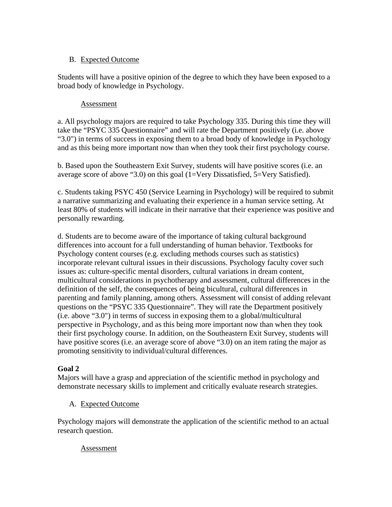### B. Expected Outcome

Students will have a positive opinion of the degree to which they have been exposed to a broad body of knowledge in Psychology.

### Assessment

a. All psychology majors are required to take Psychology 335. During this time they will take the "PSYC 335 Questionnaire" and will rate the Department positively (i.e. above "3.0") in terms of success in exposing them to a broad body of knowledge in Psychology and as this being more important now than when they took their first psychology course.

b. Based upon the Southeastern Exit Survey, students will have positive scores (i.e. an average score of above "3.0) on this goal (1=Very Dissatisfied, 5=Very Satisfied).

c. Students taking PSYC 450 (Service Learning in Psychology) will be required to submit a narrative summarizing and evaluating their experience in a human service setting. At least 80% of students will indicate in their narrative that their experience was positive and personally rewarding.

d. Students are to become aware of the importance of taking cultural background differences into account for a full understanding of human behavior. Textbooks for Psychology content courses (e.g. excluding methods courses such as statistics) incorporate relevant cultural issues in their discussions. Psychology faculty cover such issues as: culture-specific mental disorders, cultural variations in dream content, multicultural considerations in psychotherapy and assessment, cultural differences in the definition of the self, the consequences of being bicultural, cultural differences in parenting and family planning, among others. Assessment will consist of adding relevant questions on the "PSYC 335 Questionnaire". They will rate the Department positively (i.e. above "3.0") in terms of success in exposing them to a global/multicultural perspective in Psychology, and as this being more important now than when they took their first psychology course. In addition, on the Southeastern Exit Survey, students will have positive scores (i.e. an average score of above "3.0) on an item rating the major as promoting sensitivity to individual/cultural differences.

# **Goal 2**

Majors will have a grasp and appreciation of the scientific method in psychology and demonstrate necessary skills to implement and critically evaluate research strategies.

# A. Expected Outcome

Psychology majors will demonstrate the application of the scientific method to an actual research question.

# Assessment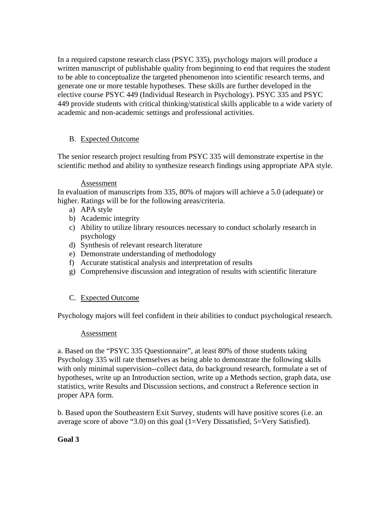In a required capstone research class (PSYC 335), psychology majors will produce a written manuscript of publishable quality from beginning to end that requires the student to be able to conceptualize the targeted phenomenon into scientific research terms, and generate one or more testable hypotheses. These skills are further developed in the elective course PSYC 449 (Individual Research in Psychology). PSYC 335 and PSYC 449 provide students with critical thinking/statistical skills applicable to a wide variety of academic and non-academic settings and professional activities.

### B. Expected Outcome

The senior research project resulting from PSYC 335 will demonstrate expertise in the scientific method and ability to synthesize research findings using appropriate APA style.

#### Assessment

In evaluation of manuscripts from 335, 80% of majors will achieve a 5.0 (adequate) or higher. Ratings will be for the following areas/criteria.

- a) APA style
- b) Academic integrity
- c) Ability to utilize library resources necessary to conduct scholarly research in psychology
- d) Synthesis of relevant research literature
- e) Demonstrate understanding of methodology
- f) Accurate statistical analysis and interpretation of results
- g) Comprehensive discussion and integration of results with scientific literature

# C. Expected Outcome

Psychology majors will feel confident in their abilities to conduct psychological research.

### Assessment

a. Based on the "PSYC 335 Questionnaire", at least 80% of those students taking Psychology 335 will rate themselves as being able to demonstrate the following skills with only minimal supervision--collect data, do background research, formulate a set of hypotheses, write up an Introduction section, write up a Methods section, graph data, use statistics, write Results and Discussion sections, and construct a Reference section in proper APA form.

b. Based upon the Southeastern Exit Survey, students will have positive scores (i.e. an average score of above "3.0) on this goal (1=Very Dissatisfied, 5=Very Satisfied).

### **Goal 3**